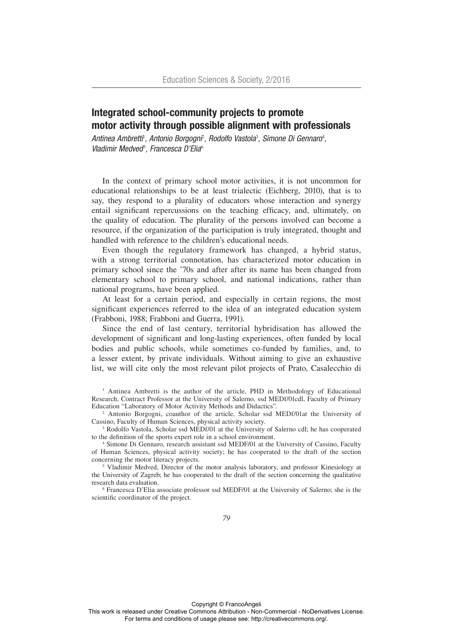# Integrated school-community projects to promote motor activity through possible alignment with professionals

Antinea Ambretti<sup>t</sup>, Antonio Borgogni<sup>2</sup>, Rodolfo Vastola<sup>3</sup>, Simone Di Gennaro<sup>4</sup>, *Vladimir Medved*<sup>5</sup> *, Francesca D'Elia*<sup>6</sup>

In the context of primary school motor activities, it is not uncommon for educational relationships to be at least trialectic (Eichberg, 2010), that is to say, they respond to a plurality of educators whose interaction and synergy entail significant repercussions on the teaching efficacy, and, ultimately, on the quality of education. The plurality of the persons involved can become a resource, if the organization of the participation is truly integrated, thought and handled with reference to the children's educational needs.

Even though the regulatory framework has changed, a hybrid status, with a strong territorial connotation, has characterized motor education in primary school since the '70s and after after its name has been changed from elementary school to primary school, and national indications, rather than national programs, have been applied.

At least for a certain period, and especially in certain regions, the most significant experiences referred to the idea of an integrated education system (Frabboni, 1988; Frabboni and Guerra, 1991).

Since the end of last century, territorial hybridisation has allowed the development of significant and long-lasting experiences, often funded by local bodies and public schools, while sometimes co-funded by families, and, to a lesser extent, by private individuals. Without aiming to give an exhaustive list, we will cite only the most relevant pilot projects of Prato, Casalecchio di

<sup>1</sup> Antinea Ambretti is the author of the article, PHD in Methodology of Educational Research, Contract Professor at the University of Salerno, ssd MEDf/01cdl, Faculty of Primary Education "Laboratory of Motor Activity Methods and Didactics".

<sup>2</sup> Antonio Borgogni, coauthor of the article, Scholar ssd MEDf/01at the University of Cassino, Faculty of Human Sciences, physical activity society.

<sup>3</sup> Rodolfo Vastola, Scholar ssd MEDf/01 at the University of Salerno cdl; he has cooperated to the definition of the sports expert role in a school environment.

4 Simone Di Gennaro, research assistant ssd MEDF/01 at the University of Cassino, Faculty of Human Sciences, physical activity society; he has cooperated to the draft of the section concerning the motor literacy projects.

<sup>5</sup> Vladimir Medved, Director of the motor analysis laboratory, and professor Kinesiology at the University of Zagreb; he has cooperated to the draft of the section concerning the qualitative research data evaluation.

6 Francesca D'Elia associate professor ssd MEDF/01 at the University of Salerno; she is the scientific coordinator of the project.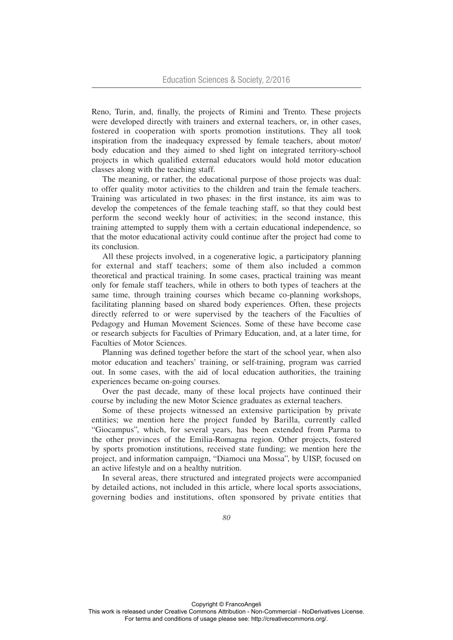Reno, Turin, and, finally, the projects of Rimini and Trento. These projects were developed directly with trainers and external teachers, or, in other cases, fostered in cooperation with sports promotion institutions. They all took inspiration from the inadequacy expressed by female teachers, about motor/ body education and they aimed to shed light on integrated territory-school projects in which qualified external educators would hold motor education classes along with the teaching staff.

The meaning, or rather, the educational purpose of those projects was dual: to offer quality motor activities to the children and train the female teachers. Training was articulated in two phases: in the first instance, its aim was to develop the competences of the female teaching staff, so that they could best perform the second weekly hour of activities; in the second instance, this training attempted to supply them with a certain educational independence, so that the motor educational activity could continue after the project had come to its conclusion.

All these projects involved, in a cogenerative logic, a participatory planning for external and staff teachers; some of them also included a common theoretical and practical training. In some cases, practical training was meant only for female staff teachers, while in others to both types of teachers at the same time, through training courses which became co-planning workshops, facilitating planning based on shared body experiences. Often, these projects directly referred to or were supervised by the teachers of the Faculties of Pedagogy and Human Movement Sciences. Some of these have become case or research subjects for Faculties of Primary Education, and, at a later time, for Faculties of Motor Sciences.

Planning was defined together before the start of the school year, when also motor education and teachers' training, or self-training, program was carried out. In some cases, with the aid of local education authorities, the training experiences became on-going courses.

Over the past decade, many of these local projects have continued their course by including the new Motor Science graduates as external teachers.

Some of these projects witnessed an extensive participation by private entities; we mention here the project funded by Barilla, currently called "Giocampus", which, for several years, has been extended from Parma to the other provinces of the Emilia-Romagna region. Other projects, fostered by sports promotion institutions, received state funding; we mention here the project, and information campaign, "Diamoci una Mossa", by UISP, focused on an active lifestyle and on a healthy nutrition.

In several areas, there structured and integrated projects were accompanied by detailed actions, not included in this article, where local sports associations, governing bodies and institutions, often sponsored by private entities that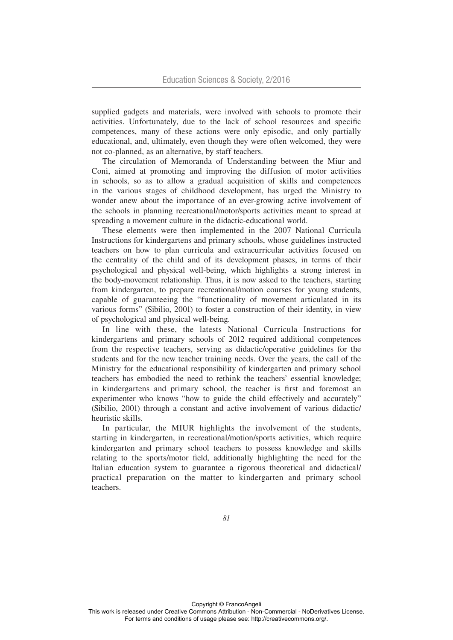supplied gadgets and materials, were involved with schools to promote their activities. Unfortunately, due to the lack of school resources and specific competences, many of these actions were only episodic, and only partially educational, and, ultimately, even though they were often welcomed, they were not co-planned, as an alternative, by staff teachers.

The circulation of Memoranda of Understanding between the Miur and Coni, aimed at promoting and improving the diffusion of motor activities in schools, so as to allow a gradual acquisition of skills and competences in the various stages of childhood development, has urged the Ministry to wonder anew about the importance of an ever-growing active involvement of the schools in planning recreational/motor/sports activities meant to spread at spreading a movement culture in the didactic-educational world.

These elements were then implemented in the 2007 National Curricula Instructions for kindergartens and primary schools, whose guidelines instructed teachers on how to plan curricula and extracurricular activities focused on the centrality of the child and of its development phases, in terms of their psychological and physical well-being, which highlights a strong interest in the body-movement relationship. Thus, it is now asked to the teachers, starting from kindergarten, to prepare recreational/motion courses for young students, capable of guaranteeing the "functionality of movement articulated in its various forms" (Sibilio, 2001) to foster a construction of their identity, in view of psychological and physical well-being.

In line with these, the latests National Curricula Instructions for kindergartens and primary schools of 2012 required additional competences from the respective teachers, serving as didactic/operative guidelines for the students and for the new teacher training needs. Over the years, the call of the Ministry for the educational responsibility of kindergarten and primary school teachers has embodied the need to rethink the teachers' essential knowledge; in kindergartens and primary school, the teacher is first and foremost an experimenter who knows "how to guide the child effectively and accurately" (Sibilio, 2001) through a constant and active involvement of various didactic/ heuristic skills.

In particular, the MIUR highlights the involvement of the students, starting in kindergarten, in recreational/motion/sports activities, which require kindergarten and primary school teachers to possess knowledge and skills relating to the sports/motor field, additionally highlighting the need for the Italian education system to guarantee a rigorous theoretical and didactical/ practical preparation on the matter to kindergarten and primary school teachers.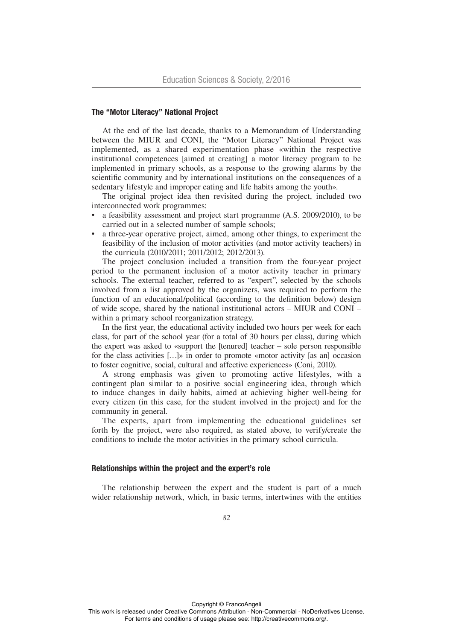## The "Motor Literacy" National Project

At the end of the last decade, thanks to a Memorandum of Understanding between the MIUR and CONI, the "Motor Literacy" National Project was implemented, as a shared experimentation phase «within the respective institutional competences [aimed at creating] a motor literacy program to be implemented in primary schools, as a response to the growing alarms by the scientific community and by international institutions on the consequences of a sedentary lifestyle and improper eating and life habits among the youth».

The original project idea then revisited during the project, included two interconnected work programmes:

- a feasibility assessment and project start programme (A.S. 2009/2010), to be carried out in a selected number of sample schools;
- a three-year operative project, aimed, among other things, to experiment the feasibility of the inclusion of motor activities (and motor activity teachers) in the curricula (2010/2011; 2011/2012; 2012/2013).

The project conclusion included a transition from the four-year project period to the permanent inclusion of a motor activity teacher in primary schools. The external teacher, referred to as "expert", selected by the schools involved from a list approved by the organizers, was required to perform the function of an educational/political (according to the definition below) design of wide scope, shared by the national institutional actors – MIUR and CONI – within a primary school reorganization strategy.

In the first year, the educational activity included two hours per week for each class, for part of the school year (for a total of 30 hours per class), during which the expert was asked to «support the [tenured] teacher – sole person responsible for the class activities […]» in order to promote «motor activity [as an] occasion to foster cognitive, social, cultural and affective experiences» (Coni, 2010).

A strong emphasis was given to promoting active lifestyles, with a contingent plan similar to a positive social engineering idea, through which to induce changes in daily habits, aimed at achieving higher well-being for every citizen (in this case, for the student involved in the project) and for the community in general.

The experts, apart from implementing the educational guidelines set forth by the project, were also required, as stated above, to verify/create the conditions to include the motor activities in the primary school curricula.

# Relationships within the project and the expert's role

The relationship between the expert and the student is part of a much wider relationship network, which, in basic terms, intertwines with the entities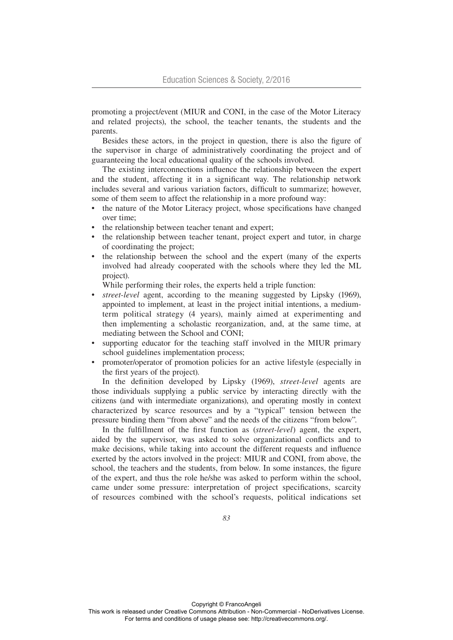promoting a project/event (MIUR and CONI, in the case of the Motor Literacy and related projects), the school, the teacher tenants, the students and the parents.

Besides these actors, in the project in question, there is also the figure of the supervisor in charge of administratively coordinating the project and of guaranteeing the local educational quality of the schools involved.

The existing interconnections influence the relationship between the expert and the student, affecting it in a significant way. The relationship network includes several and various variation factors, difficult to summarize; however, some of them seem to affect the relationship in a more profound way:

- the nature of the Motor Literacy project, whose specifications have changed over time;
- the relationship between teacher tenant and expert;
- the relationship between teacher tenant, project expert and tutor, in charge of coordinating the project;
- the relationship between the school and the expert (many of the experts involved had already cooperated with the schools where they led the ML project).

While performing their roles, the experts held a triple function:

- *street-level* agent, according to the meaning suggested by Lipsky (1969), appointed to implement, at least in the project initial intentions, a mediumterm political strategy (4 years), mainly aimed at experimenting and then implementing a scholastic reorganization, and, at the same time, at mediating between the School and CONI;
- supporting educator for the teaching staff involved in the MIUR primary school guidelines implementation process;
- promoter/operator of promotion policies for an active lifestyle (especially in the first years of the project).

In the definition developed by Lipsky (1969), *street-level* agents are those individuals supplying a public service by interacting directly with the citizens (and with intermediate organizations), and operating mostly in context characterized by scarce resources and by a "typical" tension between the pressure binding them "from above" and the needs of the citizens "from below".

In the fulfillment of the first function as (*street-level*) agent, the expert, aided by the supervisor, was asked to solve organizational conflicts and to make decisions, while taking into account the different requests and influence exerted by the actors involved in the project: MIUR and CONI, from above, the school, the teachers and the students, from below. In some instances, the figure of the expert, and thus the role he/she was asked to perform within the school, came under some pressure: interpretation of project specifications, scarcity of resources combined with the school's requests, political indications set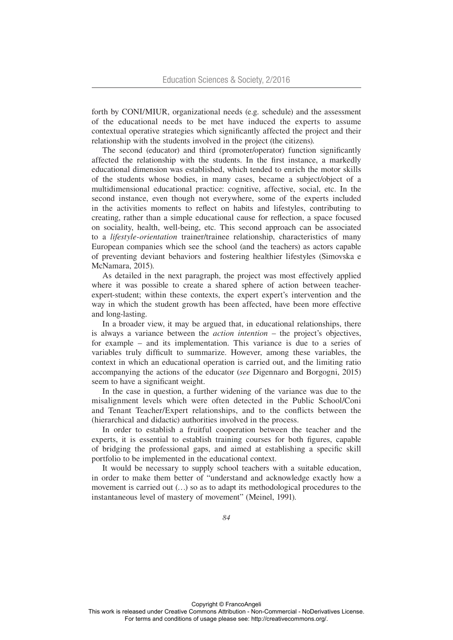forth by CONI/MIUR, organizational needs (e.g. schedule) and the assessment of the educational needs to be met have induced the experts to assume contextual operative strategies which significantly affected the project and their relationship with the students involved in the project (the citizens).

The second (educator) and third (promoter/operator) function significantly affected the relationship with the students. In the first instance, a markedly educational dimension was established, which tended to enrich the motor skills of the students whose bodies, in many cases, became a subject/object of a multidimensional educational practice: cognitive, affective, social, etc. In the second instance, even though not everywhere, some of the experts included in the activities moments to reflect on habits and lifestyles, contributing to creating, rather than a simple educational cause for reflection, a space focused on sociality, health, well-being, etc. This second approach can be associated to a *lifestyle-orientation* trainer/trainee relationship, characteristics of many European companies which see the school (and the teachers) as actors capable of preventing deviant behaviors and fostering healthier lifestyles (Simovska e McNamara, 2015).

As detailed in the next paragraph, the project was most effectively applied where it was possible to create a shared sphere of action between teacherexpert-student; within these contexts, the expert expert's intervention and the way in which the student growth has been affected, have been more effective and long-lasting.

In a broader view, it may be argued that, in educational relationships, there is always a variance between the *action intention* – the project's objectives, for example – and its implementation. This variance is due to a series of variables truly difficult to summarize. However, among these variables, the context in which an educational operation is carried out, and the limiting ratio accompanying the actions of the educator (*see* Digennaro and Borgogni, 2015) seem to have a significant weight.

In the case in question, a further widening of the variance was due to the misalignment levels which were often detected in the Public School/Coni and Tenant Teacher/Expert relationships, and to the conflicts between the (hierarchical and didactic) authorities involved in the process.

In order to establish a fruitful cooperation between the teacher and the experts, it is essential to establish training courses for both figures, capable of bridging the professional gaps, and aimed at establishing a specific skill portfolio to be implemented in the educational context.

It would be necessary to supply school teachers with a suitable education, in order to make them better of "understand and acknowledge exactly how a movement is carried out (…) so as to adapt its methodological procedures to the instantaneous level of mastery of movement" (Meinel, 1991).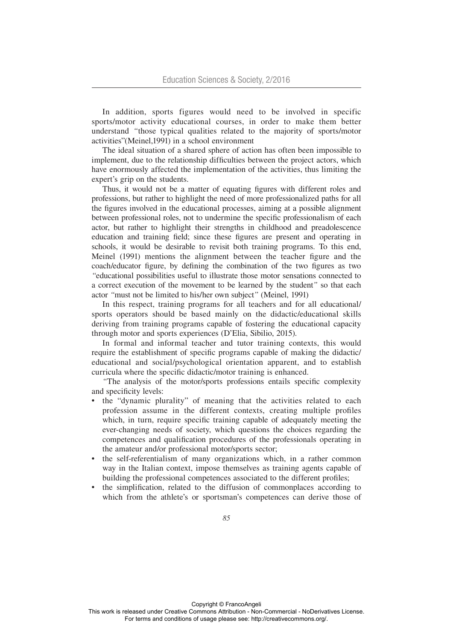In addition, sports figures would need to be involved in specific sports/motor activity educational courses, in order to make them better understand *"*those typical qualities related to the majority of sports/motor activities"(Meinel,1991) in a school environment

The ideal situation of a shared sphere of action has often been impossible to implement, due to the relationship difficulties between the project actors, which have enormously affected the implementation of the activities, thus limiting the expert's grip on the students.

Thus, it would not be a matter of equating figures with different roles and professions, but rather to highlight the need of more professionalized paths for all the figures involved in the educational processes, aiming at a possible alignment between professional roles, not to undermine the specific professionalism of each actor, but rather to highlight their strengths in childhood and preadolescence education and training field; since these figures are present and operating in schools, it would be desirable to revisit both training programs. To this end, Meinel (1991) mentions the alignment between the teacher figure and the coach/educator figure, by defining the combination of the two figures as two *"*educational possibilities useful to illustrate those motor sensations connected to a correct execution of the movement to be learned by the student*"* so that each actor *"*must not be limited to his/her own subject*"* (Meinel, 1991)

In this respect, training programs for all teachers and for all educational/ sports operators should be based mainly on the didactic/educational skills deriving from training programs capable of fostering the educational capacity through motor and sports experiences (D'Elia, Sibilio, 2015).

In formal and informal teacher and tutor training contexts, this would require the establishment of specific programs capable of making the didactic/ educational and social/psychological orientation apparent, and to establish curricula where the specific didactic/motor training is enhanced.

*"*The analysis of the motor/sports professions entails specific complexity and specificity levels:

- the "dynamic plurality" of meaning that the activities related to each profession assume in the different contexts, creating multiple profiles which, in turn, require specific training capable of adequately meeting the ever-changing needs of society, which questions the choices regarding the competences and qualification procedures of the professionals operating in the amateur and/or professional motor/sports sector;
- the self-referentialism of many organizations which, in a rather common way in the Italian context, impose themselves as training agents capable of building the professional competences associated to the different profiles;
- the simplification, related to the diffusion of commonplaces according to which from the athlete's or sportsman's competences can derive those of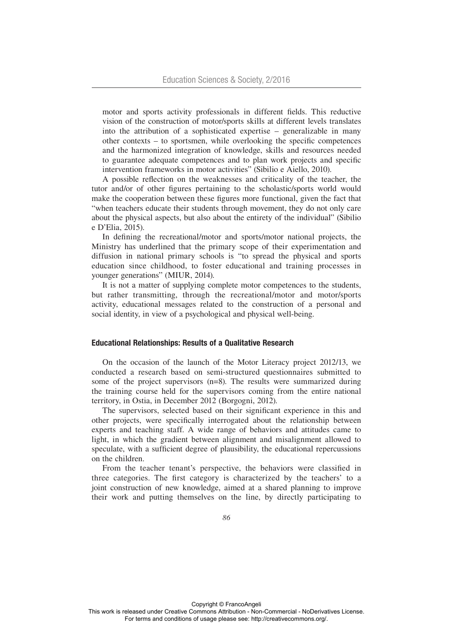motor and sports activity professionals in different fields. This reductive vision of the construction of motor/sports skills at different levels translates into the attribution of a sophisticated expertise – generalizable in many other contexts – to sportsmen, while overlooking the specific competences and the harmonized integration of knowledge, skills and resources needed to guarantee adequate competences and to plan work projects and specific intervention frameworks in motor activities" (Sibilio e Aiello, 2010).

A possible reflection on the weaknesses and criticality of the teacher, the tutor and/or of other figures pertaining to the scholastic/sports world would make the cooperation between these figures more functional, given the fact that "when teachers educate their students through movement, they do not only care about the physical aspects, but also about the entirety of the individual" (Sibilio e D'Elia, 2015).

In defining the recreational/motor and sports/motor national projects, the Ministry has underlined that the primary scope of their experimentation and diffusion in national primary schools is "to spread the physical and sports education since childhood, to foster educational and training processes in younger generations" (MIUR, 2014)*.* 

It is not a matter of supplying complete motor competences to the students, but rather transmitting, through the recreational/motor and motor/sports activity, educational messages related to the construction of a personal and social identity, in view of a psychological and physical well-being.

#### Educational Relationships: Results of a Qualitative Research

On the occasion of the launch of the Motor Literacy project 2012/13, we conducted a research based on semi-structured questionnaires submitted to some of the project supervisors  $(n=8)$ . The results were summarized during the training course held for the supervisors coming from the entire national territory, in Ostia, in December 2012 (Borgogni, 2012).

The supervisors, selected based on their significant experience in this and other projects, were specifically interrogated about the relationship between experts and teaching staff. A wide range of behaviors and attitudes came to light, in which the gradient between alignment and misalignment allowed to speculate, with a sufficient degree of plausibility, the educational repercussions on the children.

From the teacher tenant's perspective, the behaviors were classified in three categories. The first category is characterized by the teachers' to a joint construction of new knowledge, aimed at a shared planning to improve their work and putting themselves on the line, by directly participating to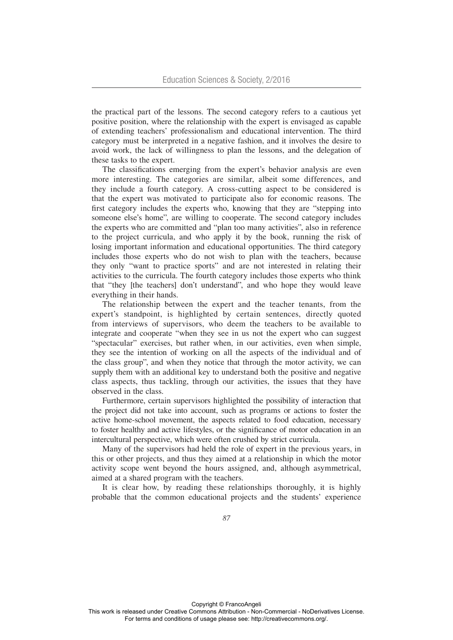the practical part of the lessons. The second category refers to a cautious yet positive position, where the relationship with the expert is envisaged as capable of extending teachers' professionalism and educational intervention. The third category must be interpreted in a negative fashion, and it involves the desire to avoid work, the lack of willingness to plan the lessons, and the delegation of these tasks to the expert.

The classifications emerging from the expert's behavior analysis are even more interesting. The categories are similar, albeit some differences, and they include a fourth category. A cross-cutting aspect to be considered is that the expert was motivated to participate also for economic reasons. The first category includes the experts who, knowing that they are "stepping into someone else's home", are willing to cooperate. The second category includes the experts who are committed and "plan too many activities", also in reference to the project curricula, and who apply it by the book, running the risk of losing important information and educational opportunities. The third category includes those experts who do not wish to plan with the teachers, because they only "want to practice sports" and are not interested in relating their activities to the curricula. The fourth category includes those experts who think that "they [the teachers] don't understand", and who hope they would leave everything in their hands.

The relationship between the expert and the teacher tenants, from the expert's standpoint, is highlighted by certain sentences, directly quoted from interviews of supervisors, who deem the teachers to be available to integrate and cooperate "when they see in us not the expert who can suggest "spectacular" exercises, but rather when, in our activities, even when simple, they see the intention of working on all the aspects of the individual and of the class group", and when they notice that through the motor activity, we can supply them with an additional key to understand both the positive and negative class aspects, thus tackling, through our activities, the issues that they have observed in the class.

Furthermore, certain supervisors highlighted the possibility of interaction that the project did not take into account, such as programs or actions to foster the active home-school movement, the aspects related to food education, necessary to foster healthy and active lifestyles, or the significance of motor education in an intercultural perspective, which were often crushed by strict curricula.

Many of the supervisors had held the role of expert in the previous years, in this or other projects, and thus they aimed at a relationship in which the motor activity scope went beyond the hours assigned, and, although asymmetrical, aimed at a shared program with the teachers.

It is clear how, by reading these relationships thoroughly, it is highly probable that the common educational projects and the students' experience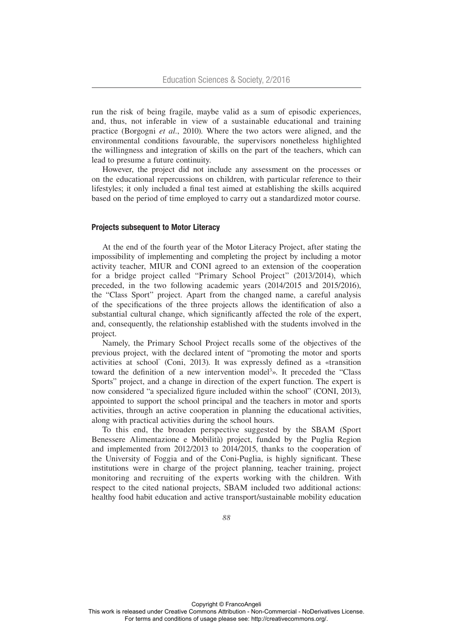run the risk of being fragile, maybe valid as a sum of episodic experiences, and, thus, not inferable in view of a sustainable educational and training practice (Borgogni *et al.*, 2010). Where the two actors were aligned, and the environmental conditions favourable, the supervisors nonetheless highlighted the willingness and integration of skills on the part of the teachers, which can lead to presume a future continuity.

However, the project did not include any assessment on the processes or on the educational repercussions on children, with particular reference to their lifestyles; it only included a final test aimed at establishing the skills acquired based on the period of time employed to carry out a standardized motor course.

### Projects subsequent to Motor Literacy

At the end of the fourth year of the Motor Literacy Project, after stating the impossibility of implementing and completing the project by including a motor activity teacher, MIUR and CONI agreed to an extension of the cooperation for a bridge project called "Primary School Project" (2013/2014), which preceded, in the two following academic years (2014/2015 and 2015/2016), the "Class Sport" project. Apart from the changed name, a careful analysis of the specifications of the three projects allows the identification of also a substantial cultural change, which significantly affected the role of the expert, and, consequently, the relationship established with the students involved in the project.

Namely, the Primary School Project recalls some of the objectives of the previous project, with the declared intent of "promoting the motor and sports activities at school" (Coni, 2013). It was expressly defined as a «transition toward the definition of a new intervention model<sup>3</sup>». It preceded the "Class Sports" project, and a change in direction of the expert function. The expert is now considered "a specialized figure included within the school" (CONI, 2013), appointed to support the school principal and the teachers in motor and sports activities, through an active cooperation in planning the educational activities, along with practical activities during the school hours.

To this end, the broaden perspective suggested by the SBAM (Sport Benessere Alimentazione e Mobilità) project, funded by the Puglia Region and implemented from 2012/2013 to 2014/2015, thanks to the cooperation of the University of Foggia and of the Coni-Puglia, is highly significant. These institutions were in charge of the project planning, teacher training, project monitoring and recruiting of the experts working with the children. With respect to the cited national projects, SBAM included two additional actions: healthy food habit education and active transport/sustainable mobility education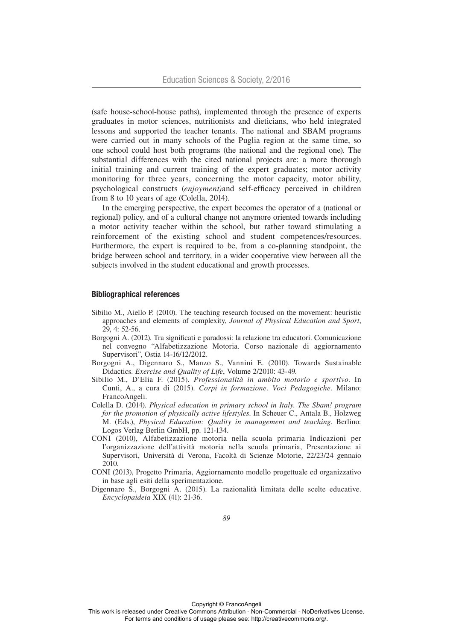(safe house-school-house paths), implemented through the presence of experts graduates in motor sciences, nutritionists and dieticians, who held integrated lessons and supported the teacher tenants. The national and SBAM programs were carried out in many schools of the Puglia region at the same time, so one school could host both programs (the national and the regional one). The substantial differences with the cited national projects are: a more thorough initial training and current training of the expert graduates; motor activity monitoring for three years, concerning the motor capacity, motor ability, psychological constructs (*enjoyment)*and self-efficacy perceived in children from 8 to 10 years of age (Colella, 2014).

In the emerging perspective, the expert becomes the operator of a (national or regional) policy, and of a cultural change not anymore oriented towards including a motor activity teacher within the school, but rather toward stimulating a reinforcement of the existing school and student competences/resources. Furthermore, the expert is required to be, from a co-planning standpoint, the bridge between school and territory, in a wider cooperative view between all the subjects involved in the student educational and growth processes.

#### Bibliographical references

- Sibilio M., Aiello P. (2010). The teaching research focused on the movement: heuristic approaches and elements of complexity, *Journal of Physical Education and Sport*, 29, 4: 52-56.
- Borgogni A. (2012). Tra significati e paradossi: la relazione tra educatori. Comunicazione nel convegno "Alfabetizzazione Motoria. Corso nazionale di aggiornamento Supervisori", Ostia 14-16/12/2012.
- Borgogni A., Digennaro S., Manzo S., Vannini E. (2010). Towards Sustainable Didactics. *Exercise and Quality of Life*, Volume 2/2010: 43-49.
- Sibilio M., D'Elia F. (2015). *Professionalità in ambito motorio e sportivo*. In Cunti, A., a cura di (2015). *Corpi in formazione. Voci Pedagogiche.* Milano: FrancoAngeli.
- Colella D. (2014). *Physical education in primary school in Italy. The Sbam! program for the promotion of physically active lifestyles*. In Scheuer C., Antala B., Holzweg M. (Eds.), *Physical Education: Quality in management and teaching*. Berlino: Logos Verlag Berlin GmbH, pp. 121-134.
- CONI (2010), Alfabetizzazione motoria nella scuola primaria Indicazioni per l'organizzazione dell'attività motoria nella scuola primaria, Presentazione ai Supervisori, Università di Verona, Facoltà di Scienze Motorie, 22/23/24 gennaio 2010.
- CONI (2013), Progetto Primaria, Aggiornamento modello progettuale ed organizzativo in base agli esiti della sperimentazione.
- Digennaro S., Borgogni A. (2015). La razionalità limitata delle scelte educative. *Encyclopaideia* XIX (41): 21-36.